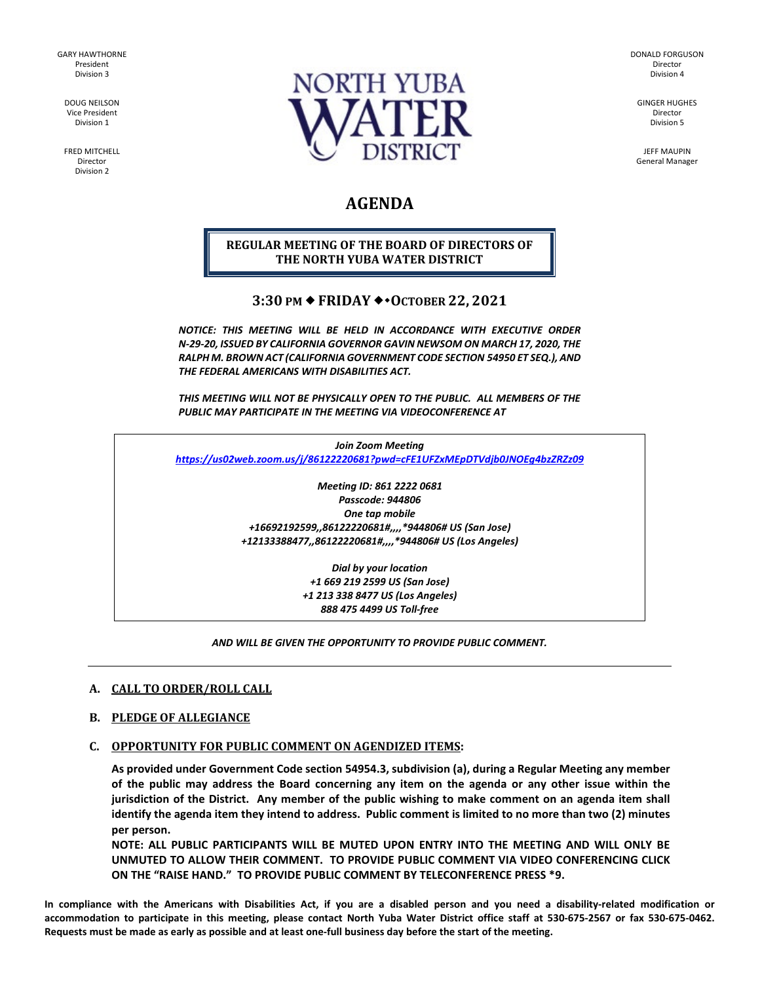GARY HAWTHORNE President Division 3

> DOUG NEILSON Vice President Division 1

FRED MITCHELL Director Division 2



DONALD FORGUSON Director Division 4

GINGER HUGHES Director Division 5

JEFF MAUPIN General Manager

# **AGENDA**

# **REGULAR MEETING OF THE BOARD OF DIRECTORS OF THE NORTH YUBA WATER DISTRICT**

# **3:30 PM ♦ FRIDAY ♦ • ОСТОВЕК 22, 2021**

*NOTICE: THIS MEETING WILL BE HELD IN ACCORDANCE WITH EXECUTIVE ORDER N-29-20, ISSUED BY CALIFORNIA GOVERNOR GAVIN NEWSOM ON MARCH 17, 2020, THE RALPH M. BROWN ACT (CALIFORNIA GOVERNMENT CODE SECTION 54950 ET SEQ.), AND THE FEDERAL AMERICANS WITH DISABILITIES ACT.* 

*THIS MEETING WILL NOT BE PHYSICALLY OPEN TO THE PUBLIC. ALL MEMBERS OF THE PUBLIC MAY PARTICIPATE IN THE MEETING VIA VIDEOCONFERENCE AT* 

*Join Zoom Meeting <https://us02web.zoom.us/j/86122220681?pwd=cFE1UFZxMEpDTVdjb0JNOEg4bzZRZz09>*

> *Meeting ID: 861 2222 0681 Passcode: 944806 One tap mobile +16692192599,,86122220681#,,,,\*944806# US (San Jose) +12133388477,,86122220681#,,,,\*944806# US (Los Angeles)*

> > *Dial by your location +1 669 219 2599 US (San Jose) +1 213 338 8477 US (Los Angeles) 888 475 4499 US Toll-free*

#### *AND WILL BE GIVEN THE OPPORTUNITY TO PROVIDE PUBLIC COMMENT.*

# **A. CALL TO ORDER/ROLL CALL**

#### **B. PLEDGE OF ALLEGIANCE**

# **C. OPPORTUNITY FOR PUBLIC COMMENT ON AGENDIZED ITEMS:**

**As provided under Government Code section 54954.3, subdivision (a), during a Regular Meeting any member of the public may address the Board concerning any item on the agenda or any other issue within the jurisdiction of the District. Any member of the public wishing to make comment on an agenda item shall identify the agenda item they intend to address. Public comment is limited to no more than two (2) minutes per person.** 

**NOTE: ALL PUBLIC PARTICIPANTS WILL BE MUTED UPON ENTRY INTO THE MEETING AND WILL ONLY BE UNMUTED TO ALLOW THEIR COMMENT. TO PROVIDE PUBLIC COMMENT VIA VIDEO CONFERENCING CLICK ON THE "RAISE HAND." TO PROVIDE PUBLIC COMMENT BY TELECONFERENCE PRESS \*9.**

**In compliance with the Americans with Disabilities Act, if you are a disabled person and you need a disability-related modification or accommodation to participate in this meeting, please contact North Yuba Water District office staff at 530-675-2567 or fax 530-675-0462. Requests must be made as early as possible and at least one-full business day before the start of the meeting.**